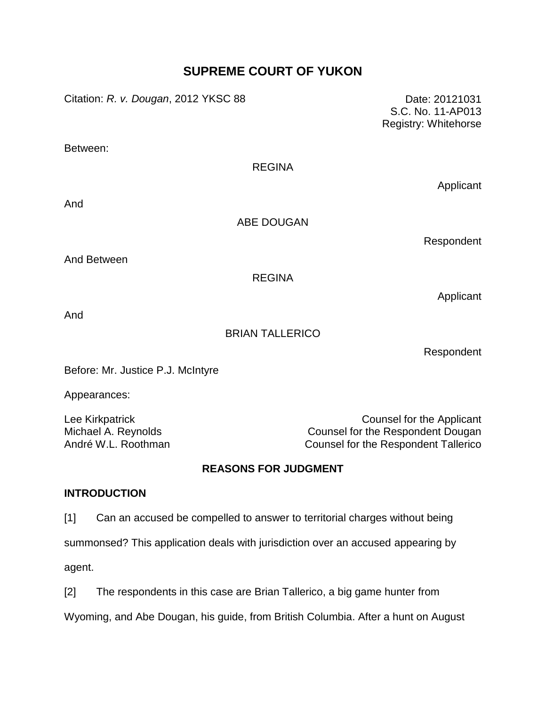# **SUPREME COURT OF YUKON**

Citation: *R. v. Dougan*, 2012 YKSC 88 Date: 20121031

S.C. No. 11-AP013 Registry: Whitehorse

Between:

## REGINA

And

ABE DOUGAN

Respondent

Applicant

And Between

REGINA

Applicant

And

## BRIAN TALLERICO

Respondent

Before: Mr. Justice P.J. McIntyre

Appearances:

Lee Kirkpatrick **Counsel for the Applicant** Michael A. Reynolds Counsel for the Respondent Dougan André W.L. Roothman **Counsel for the Respondent Tallerico** 

## **REASONS FOR JUDGMENT**

## **INTRODUCTION**

[1] Can an accused be compelled to answer to territorial charges without being

summonsed? This application deals with jurisdiction over an accused appearing by

agent.

[2] The respondents in this case are Brian Tallerico, a big game hunter from Wyoming, and Abe Dougan, his guide, from British Columbia. After a hunt on August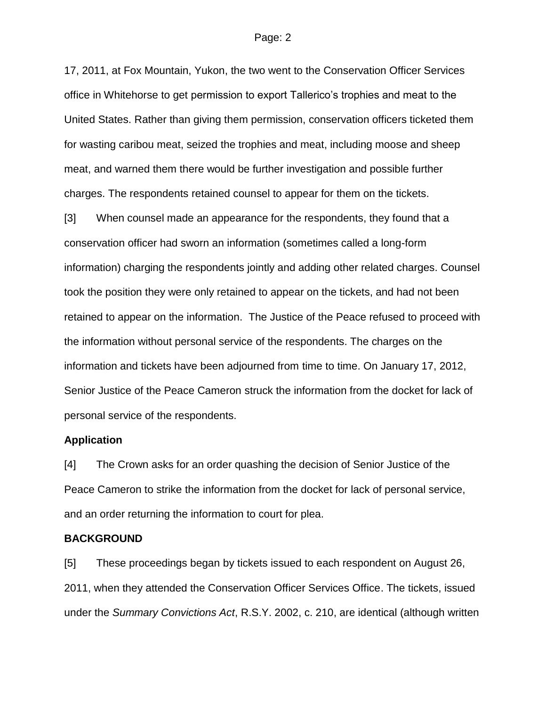17, 2011, at Fox Mountain, Yukon, the two went to the Conservation Officer Services office in Whitehorse to get permission to export Tallerico's trophies and meat to the United States. Rather than giving them permission, conservation officers ticketed them for wasting caribou meat, seized the trophies and meat, including moose and sheep meat, and warned them there would be further investigation and possible further charges. The respondents retained counsel to appear for them on the tickets.

[3] When counsel made an appearance for the respondents, they found that a conservation officer had sworn an information (sometimes called a long-form information) charging the respondents jointly and adding other related charges. Counsel took the position they were only retained to appear on the tickets, and had not been retained to appear on the information. The Justice of the Peace refused to proceed with the information without personal service of the respondents. The charges on the information and tickets have been adjourned from time to time. On January 17, 2012, Senior Justice of the Peace Cameron struck the information from the docket for lack of personal service of the respondents.

### **Application**

[4] The Crown asks for an order quashing the decision of Senior Justice of the Peace Cameron to strike the information from the docket for lack of personal service, and an order returning the information to court for plea.

### **BACKGROUND**

[5] These proceedings began by tickets issued to each respondent on August 26, 2011, when they attended the Conservation Officer Services Office. The tickets, issued under the *Summary Convictions Act*, R.S.Y. 2002, c. 210, are identical (although written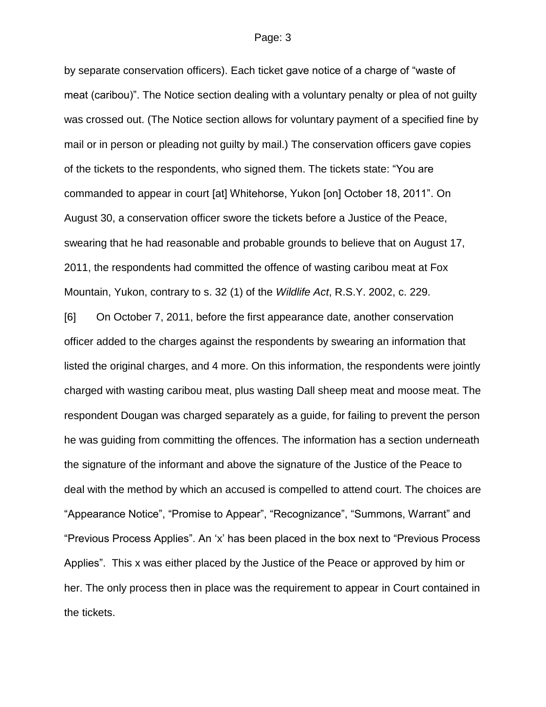by separate conservation officers). Each ticket gave notice of a charge of "waste of meat (caribou)". The Notice section dealing with a voluntary penalty or plea of not guilty was crossed out. (The Notice section allows for voluntary payment of a specified fine by mail or in person or pleading not guilty by mail.) The conservation officers gave copies of the tickets to the respondents, who signed them. The tickets state: "You are commanded to appear in court [at] Whitehorse, Yukon [on] October 18, 2011". On August 30, a conservation officer swore the tickets before a Justice of the Peace, swearing that he had reasonable and probable grounds to believe that on August 17, 2011, the respondents had committed the offence of wasting caribou meat at Fox Mountain, Yukon, contrary to s. 32 (1) of the *Wildlife Act*, R.S.Y. 2002, c. 229.

[6] On October 7, 2011, before the first appearance date, another conservation officer added to the charges against the respondents by swearing an information that listed the original charges, and 4 more. On this information, the respondents were jointly charged with wasting caribou meat, plus wasting Dall sheep meat and moose meat. The respondent Dougan was charged separately as a guide, for failing to prevent the person he was guiding from committing the offences. The information has a section underneath the signature of the informant and above the signature of the Justice of the Peace to deal with the method by which an accused is compelled to attend court. The choices are "Appearance Notice", "Promise to Appear", "Recognizance", "Summons, Warrant" and "Previous Process Applies". An 'x' has been placed in the box next to "Previous Process Applies". This x was either placed by the Justice of the Peace or approved by him or her. The only process then in place was the requirement to appear in Court contained in the tickets.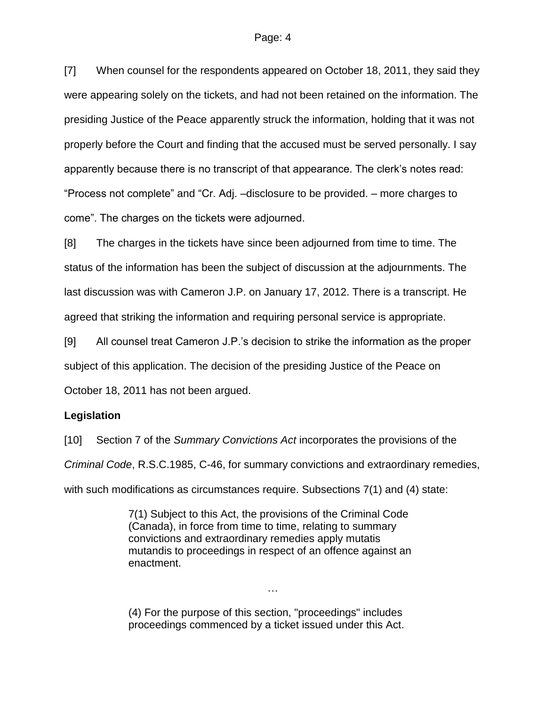[7] When counsel for the respondents appeared on October 18, 2011, they said they were appearing solely on the tickets, and had not been retained on the information. The presiding Justice of the Peace apparently struck the information, holding that it was not properly before the Court and finding that the accused must be served personally. I say apparently because there is no transcript of that appearance. The clerk's notes read: "Process not complete" and "Cr. Adj. –disclosure to be provided. – more charges to come". The charges on the tickets were adjourned.

[8] The charges in the tickets have since been adjourned from time to time. The status of the information has been the subject of discussion at the adjournments. The last discussion was with Cameron J.P. on January 17, 2012. There is a transcript. He agreed that striking the information and requiring personal service is appropriate.

[9] All counsel treat Cameron J.P.'s decision to strike the information as the proper subject of this application. The decision of the presiding Justice of the Peace on October 18, 2011 has not been argued.

## **Legislation**

[10] Section 7 of the *Summary Convictions Act* incorporates the provisions of the *Criminal Code*, R.S.C.1985, C-46, for summary convictions and extraordinary remedies, with such modifications as circumstances require. Subsections 7(1) and (4) state:

> 7(1) Subject to this Act, the provisions of the Criminal Code (Canada), in force from time to time, relating to summary convictions and extraordinary remedies apply mutatis mutandis to proceedings in respect of an offence against an enactment.

> > …

(4) For the purpose of this section, "proceedings" includes proceedings commenced by a ticket issued under this Act.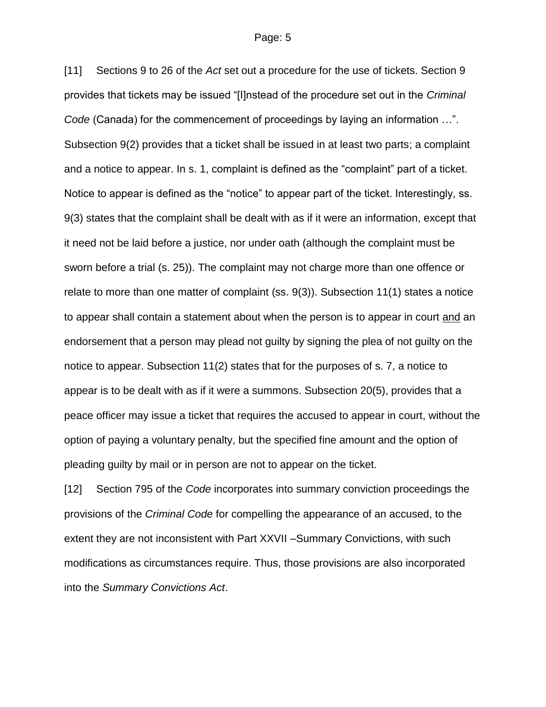[11] Sections 9 to 26 of the *Act* set out a procedure for the use of tickets. Section 9 provides that tickets may be issued "[I]nstead of the procedure set out in the *Criminal Code* (Canada) for the commencement of proceedings by laying an information …". Subsection 9(2) provides that a ticket shall be issued in at least two parts; a complaint and a notice to appear. In s. 1, complaint is defined as the "complaint" part of a ticket. Notice to appear is defined as the "notice" to appear part of the ticket. Interestingly, ss. 9(3) states that the complaint shall be dealt with as if it were an information, except that it need not be laid before a justice, nor under oath (although the complaint must be sworn before a trial (s. 25)). The complaint may not charge more than one offence or relate to more than one matter of complaint (ss. 9(3)). Subsection 11(1) states a notice to appear shall contain a statement about when the person is to appear in court and an endorsement that a person may plead not guilty by signing the plea of not guilty on the notice to appear. Subsection 11(2) states that for the purposes of s. 7, a notice to appear is to be dealt with as if it were a summons. Subsection 20(5), provides that a peace officer may issue a ticket that requires the accused to appear in court, without the option of paying a voluntary penalty, but the specified fine amount and the option of pleading guilty by mail or in person are not to appear on the ticket.

[12] Section 795 of the *Code* incorporates into summary conviction proceedings the provisions of the *Criminal Code* for compelling the appearance of an accused, to the extent they are not inconsistent with Part XXVII –Summary Convictions, with such modifications as circumstances require. Thus, those provisions are also incorporated into the *Summary Convictions Act*.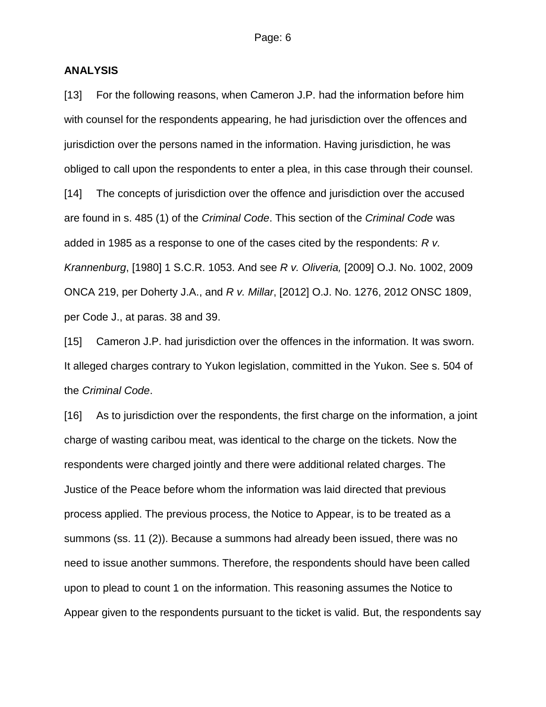## **ANALYSIS**

[13] For the following reasons, when Cameron J.P. had the information before him with counsel for the respondents appearing, he had jurisdiction over the offences and jurisdiction over the persons named in the information. Having jurisdiction, he was obliged to call upon the respondents to enter a plea, in this case through their counsel. [14] The concepts of jurisdiction over the offence and jurisdiction over the accused are found in s. 485 (1) of the *Criminal Code*. This section of the *Criminal Code* was added in 1985 as a response to one of the cases cited by the respondents: *R v. Krannenburg*, [1980] 1 S.C.R. 1053. And see *R v. Oliveria,* [2009] O.J. No. 1002, 2009 ONCA 219, per Doherty J.A., and *R v. Millar*, [2012] O.J. No. 1276, 2012 ONSC 1809, per Code J., at paras. 38 and 39.

[15] Cameron J.P. had jurisdiction over the offences in the information. It was sworn. It alleged charges contrary to Yukon legislation, committed in the Yukon. See s. 504 of the *Criminal Code*.

[16] As to jurisdiction over the respondents, the first charge on the information, a joint charge of wasting caribou meat, was identical to the charge on the tickets. Now the respondents were charged jointly and there were additional related charges. The Justice of the Peace before whom the information was laid directed that previous process applied. The previous process, the Notice to Appear, is to be treated as a summons (ss. 11 (2)). Because a summons had already been issued, there was no need to issue another summons. Therefore, the respondents should have been called upon to plead to count 1 on the information. This reasoning assumes the Notice to Appear given to the respondents pursuant to the ticket is valid. But, the respondents say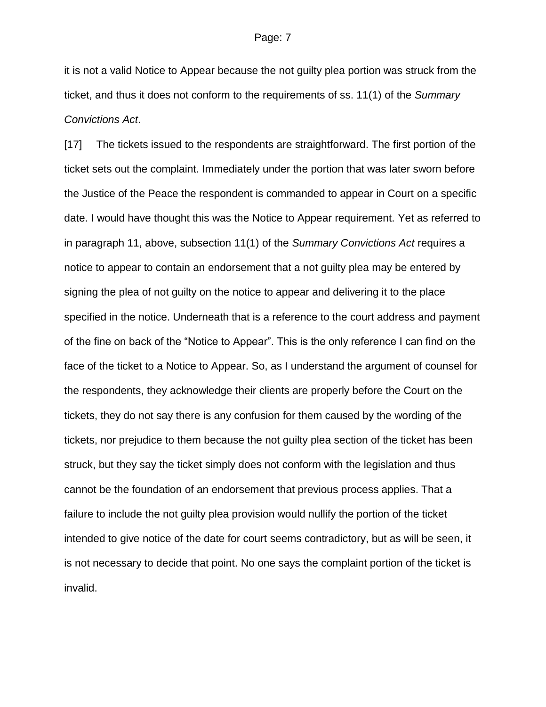it is not a valid Notice to Appear because the not guilty plea portion was struck from the ticket, and thus it does not conform to the requirements of ss. 11(1) of the *Summary Convictions Act*.

[17] The tickets issued to the respondents are straightforward. The first portion of the ticket sets out the complaint. Immediately under the portion that was later sworn before the Justice of the Peace the respondent is commanded to appear in Court on a specific date. I would have thought this was the Notice to Appear requirement. Yet as referred to in paragraph 11, above, subsection 11(1) of the *Summary Convictions Act* requires a notice to appear to contain an endorsement that a not guilty plea may be entered by signing the plea of not guilty on the notice to appear and delivering it to the place specified in the notice. Underneath that is a reference to the court address and payment of the fine on back of the "Notice to Appear". This is the only reference I can find on the face of the ticket to a Notice to Appear. So, as I understand the argument of counsel for the respondents, they acknowledge their clients are properly before the Court on the tickets, they do not say there is any confusion for them caused by the wording of the tickets, nor prejudice to them because the not guilty plea section of the ticket has been struck, but they say the ticket simply does not conform with the legislation and thus cannot be the foundation of an endorsement that previous process applies. That a failure to include the not guilty plea provision would nullify the portion of the ticket intended to give notice of the date for court seems contradictory, but as will be seen, it is not necessary to decide that point. No one says the complaint portion of the ticket is invalid.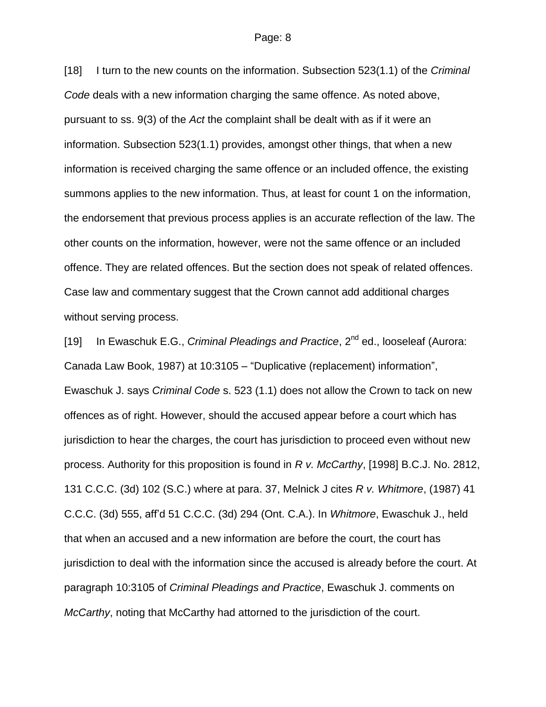[18] I turn to the new counts on the information. Subsection 523(1.1) of the *Criminal Code* deals with a new information charging the same offence. As noted above, pursuant to ss. 9(3) of the *Act* the complaint shall be dealt with as if it were an information. Subsection 523(1.1) provides, amongst other things, that when a new information is received charging the same offence or an included offence, the existing summons applies to the new information. Thus, at least for count 1 on the information, the endorsement that previous process applies is an accurate reflection of the law. The other counts on the information, however, were not the same offence or an included offence. They are related offences. But the section does not speak of related offences. Case law and commentary suggest that the Crown cannot add additional charges without serving process.

[19] In Ewaschuk E.G., *Criminal Pleadings and Practice*, 2<sup>nd</sup> ed., looseleaf (Aurora: Canada Law Book, 1987) at 10:3105 – "Duplicative (replacement) information", Ewaschuk J. says *Criminal Code* s. 523 (1.1) does not allow the Crown to tack on new offences as of right. However, should the accused appear before a court which has jurisdiction to hear the charges, the court has jurisdiction to proceed even without new process. Authority for this proposition is found in *R v. McCarthy*, [1998] B.C.J. No. 2812, 131 C.C.C. (3d) 102 (S.C.) where at para. 37, Melnick J cites *R v. Whitmore*, (1987) 41 C.C.C. (3d) 555, aff'd 51 C.C.C. (3d) 294 (Ont. C.A.). In *Whitmore*, Ewaschuk J., held that when an accused and a new information are before the court, the court has jurisdiction to deal with the information since the accused is already before the court. At paragraph 10:3105 of *Criminal Pleadings and Practice*, Ewaschuk J. comments on *McCarthy*, noting that McCarthy had attorned to the jurisdiction of the court.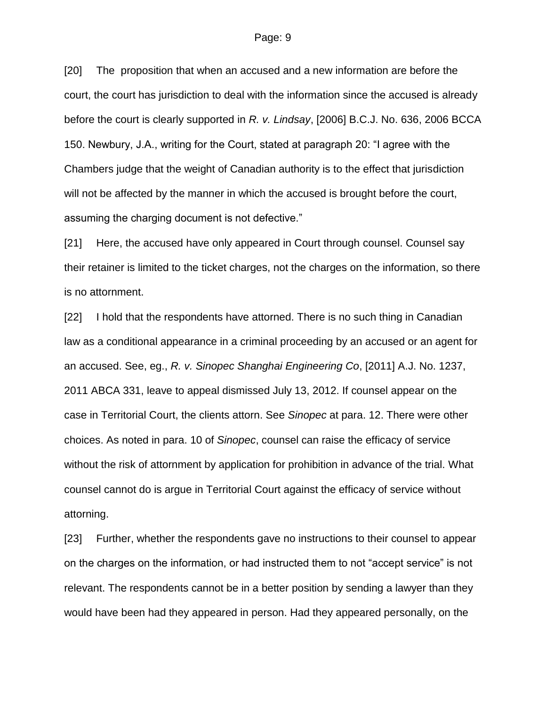[20] The proposition that when an accused and a new information are before the court, the court has jurisdiction to deal with the information since the accused is already before the court is clearly supported in *R. v. Lindsay*, [2006] B.C.J. No. 636, 2006 BCCA 150. Newbury, J.A., writing for the Court, stated at paragraph 20: "I agree with the Chambers judge that the weight of Canadian authority is to the effect that jurisdiction will not be affected by the manner in which the accused is brought before the court, assuming the charging document is not defective."

[21] Here, the accused have only appeared in Court through counsel. Counsel say their retainer is limited to the ticket charges, not the charges on the information, so there is no attornment.

[22] I hold that the respondents have attorned. There is no such thing in Canadian law as a conditional appearance in a criminal proceeding by an accused or an agent for an accused. See, eg., *R. v. Sinopec Shanghai Engineering Co*, [2011] A.J. No. 1237, 2011 ABCA 331, leave to appeal dismissed July 13, 2012. If counsel appear on the case in Territorial Court, the clients attorn. See *Sinopec* at para. 12. There were other choices. As noted in para. 10 of *Sinopec*, counsel can raise the efficacy of service without the risk of attornment by application for prohibition in advance of the trial. What counsel cannot do is argue in Territorial Court against the efficacy of service without attorning.

[23] Further, whether the respondents gave no instructions to their counsel to appear on the charges on the information, or had instructed them to not "accept service" is not relevant. The respondents cannot be in a better position by sending a lawyer than they would have been had they appeared in person. Had they appeared personally, on the